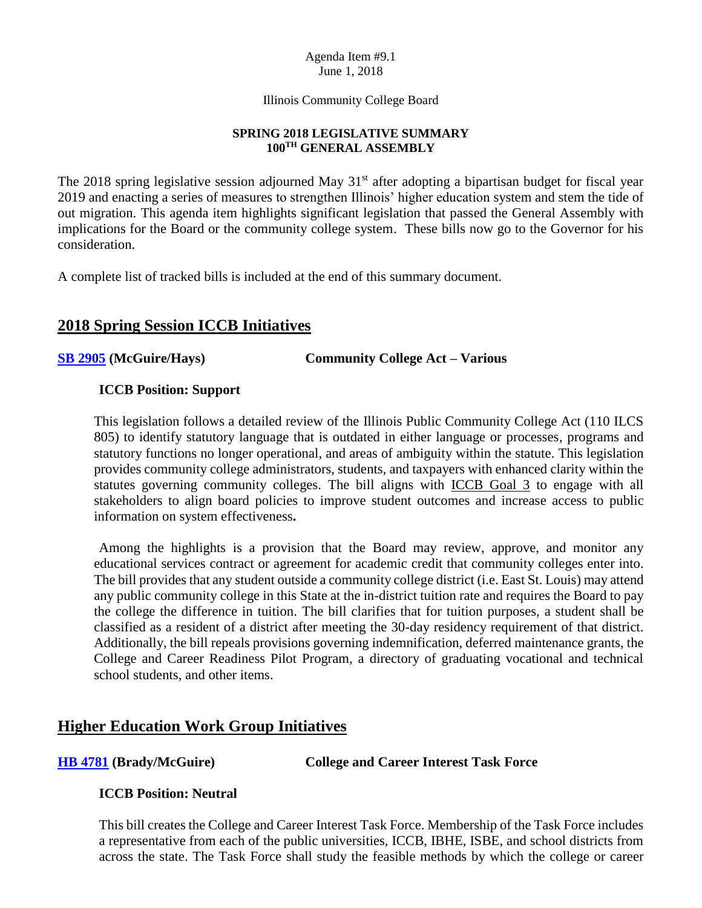#### Agenda Item #9.1 June 1, 2018

Illinois Community College Board

## **SPRING 2018 LEGISLATIVE SUMMARY 100TH GENERAL ASSEMBLY**

The 2018 spring legislative session adjourned May  $31<sup>st</sup>$  after adopting a bipartisan budget for fiscal year 2019 and enacting a series of measures to strengthen Illinois' higher education system and stem the tide of out migration. This agenda item highlights significant legislation that passed the General Assembly with implications for the Board or the community college system. These bills now go to the Governor for his consideration.

A complete list of tracked bills is included at the end of this summary document.

# **2018 Spring Session ICCB Initiatives**

## **[SB 2905](http://www.ilga.gov/legislation/billstatus.asp?DocNum=2905&GAID=14&GA=100&DocTypeID=SB&LegID=110145&SessionID=91) (McGuire/Hays) Community College Act – Various**

## **ICCB Position: Support**

This legislation follows a detailed review of the Illinois Public Community College Act (110 ILCS 805) to identify statutory language that is outdated in either language or processes, programs and statutory functions no longer operational, and areas of ambiguity within the statute. This legislation provides community college administrators, students, and taxpayers with enhanced clarity within the statutes governing community colleges. The bill aligns with **ICCB** Goal 3 to engage with all stakeholders to align board policies to improve student outcomes and increase access to public information on system effectiveness**.** 

Among the highlights is a provision that the Board may review, approve, and monitor any educational services contract or agreement for academic credit that community colleges enter into. The bill provides that any student outside a community college district (i.e. East St. Louis) may attend any public community college in this State at the in-district tuition rate and requires the Board to pay the college the difference in tuition. The bill clarifies that for tuition purposes, a student shall be classified as a resident of a district after meeting the 30-day residency requirement of that district. Additionally, the bill repeals provisions governing indemnification, deferred maintenance grants, the College and Career Readiness Pilot Program, a directory of graduating vocational and technical school students, and other items.

# **Higher Education Work Group Initiatives**

## **[HB 4781](http://www.ilga.gov/legislation/billstatus.asp?DocNum=4781&GAID=14&GA=100&DocTypeID=HB&LegID=110090&SessionID=91) (Brady/McGuire) College and Career Interest Task Force**

## **ICCB Position: Neutral**

This bill creates the College and Career Interest Task Force. Membership of the Task Force includes a representative from each of the public universities, ICCB, IBHE, ISBE, and school districts from across the state. The Task Force shall study the feasible methods by which the college or career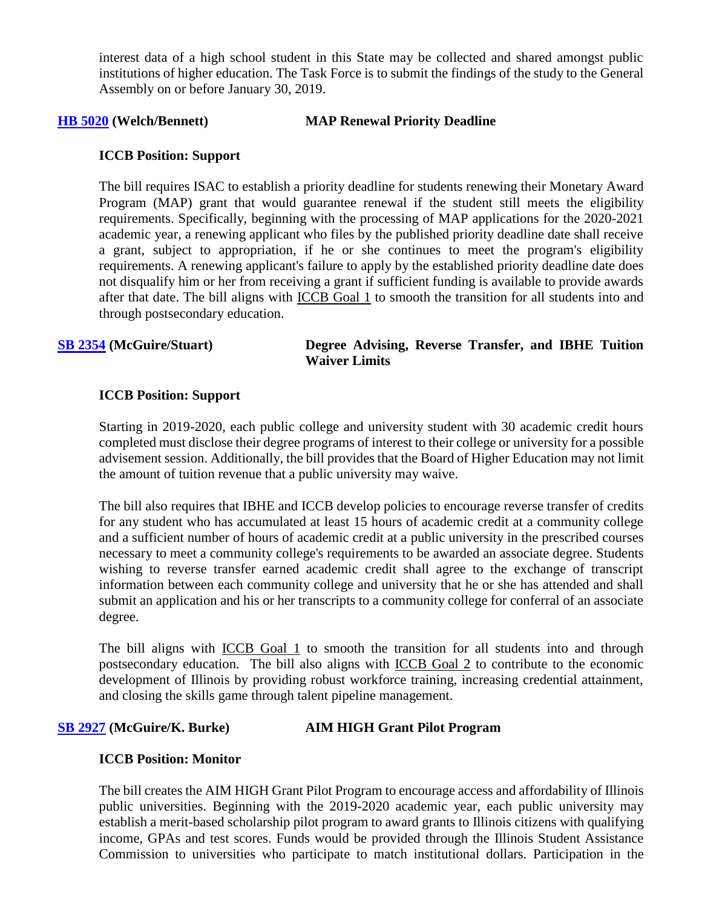interest data of a high school student in this State may be collected and shared amongst public institutions of higher education. The Task Force is to submit the findings of the study to the General Assembly on or before January 30, 2019.

## **[HB 5020](http://www.ilga.gov/legislation/billstatus.asp?DocNum=5020&GAID=14&GA=100&DocTypeID=HB&SessionID=91) (Welch/Bennett) MAP Renewal Priority Deadline**

## **ICCB Position: Support**

The bill requires ISAC to establish a priority deadline for students renewing their Monetary Award Program (MAP) grant that would guarantee renewal if the student still meets the eligibility requirements. Specifically, beginning with the processing of MAP applications for the 2020-2021 academic year, a renewing applicant who files by the published priority deadline date shall receive a grant, subject to appropriation, if he or she continues to meet the program's eligibility requirements. A renewing applicant's failure to apply by the established priority deadline date does not disqualify him or her from receiving a grant if sufficient funding is available to provide awards after that date. The bill aligns with ICCB Goal 1 to smooth the transition for all students into and through postsecondary education.

## **[SB 2354](http://www.ilga.gov/legislation/billstatus.asp?DocNum=2354&GAID=14&GA=100&DocTypeID=SB&SessionID=91) (McGuire/Stuart) Degree Advising, Reverse Transfer, and IBHE Tuition Waiver Limits**

### **ICCB Position: Support**

Starting in 2019-2020, each public college and university student with 30 academic credit hours completed must disclose their degree programs of interest to their college or university for a possible advisement session. Additionally, the bill provides that the Board of Higher Education may not limit the amount of tuition revenue that a public university may waive.

The bill also requires that IBHE and ICCB develop policies to encourage reverse transfer of credits for any student who has accumulated at least 15 hours of academic credit at a community college and a sufficient number of hours of academic credit at a public university in the prescribed courses necessary to meet a community college's requirements to be awarded an associate degree. Students wishing to reverse transfer earned academic credit shall agree to the exchange of transcript information between each community college and university that he or she has attended and shall submit an application and his or her transcripts to a community college for conferral of an associate degree.

The bill aligns with ICCB Goal 1 to smooth the transition for all students into and through postsecondary education.The bill also aligns with ICCB Goal 2 to contribute to the economic development of Illinois by providing robust workforce training, increasing credential attainment, and closing the skills game through talent pipeline management.

## **[SB 2927](http://www.ilga.gov/legislation/billstatus.asp?DocNum=2927&GAID=14&GA=100&DocTypeID=SB&SessionID=91) (McGuire/K. Burke) AIM HIGH Grant Pilot Program**

## **ICCB Position: Monitor**

The bill creates the AIM HIGH Grant Pilot Program to encourage access and affordability of Illinois public universities. Beginning with the 2019-2020 academic year, each public university may establish a merit-based scholarship pilot program to award grants to Illinois citizens with qualifying income, GPAs and test scores. Funds would be provided through the Illinois Student Assistance Commission to universities who participate to match institutional dollars. Participation in the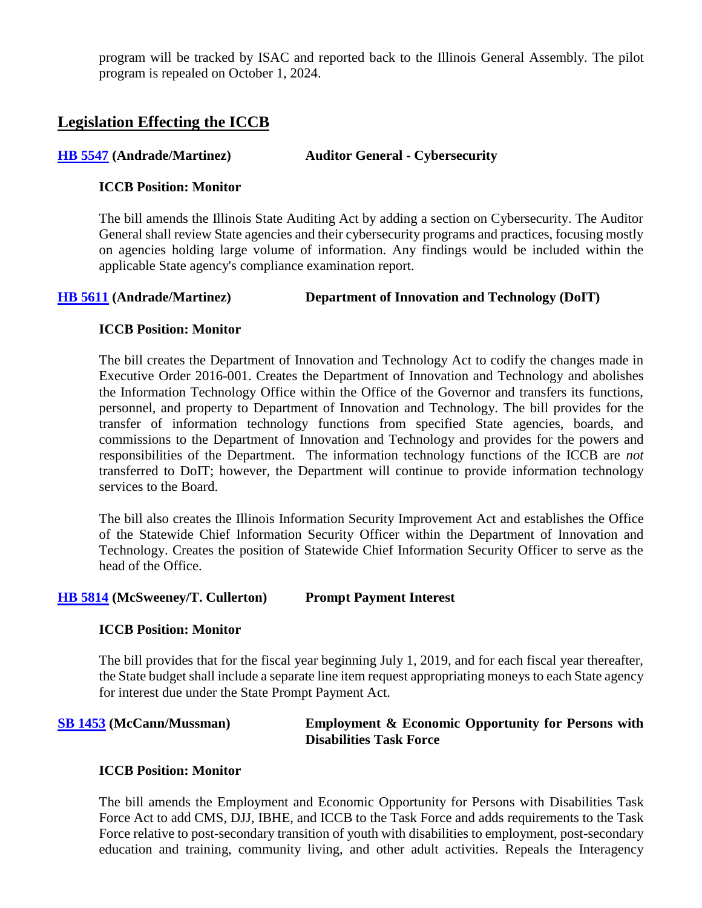program will be tracked by ISAC and reported back to the Illinois General Assembly. The pilot program is repealed on October 1, 2024.

# **Legislation Effecting the ICCB**

## **[HB 5547](http://www.ilga.gov/legislation/billstatus.asp?DocNum=5547&GAID=14&GA=100&DocTypeID=HB&SessionID=91) (Andrade/Martinez) Auditor General - Cybersecurity**

## **ICCB Position: Monitor**

The bill amends the Illinois State Auditing Act by adding a section on Cybersecurity. The Auditor General shall review State agencies and their cybersecurity programs and practices, focusing mostly on agencies holding large volume of information. Any findings would be included within the applicable State agency's compliance examination report.

## **[HB 5611](http://www.ilga.gov/legislation/billstatus.asp?DocNum=5611&GAID=14&GA=100&DocTypeID=HB&SessionID=91) (Andrade/Martinez) Department of Innovation and Technology (DoIT)**

## **ICCB Position: Monitor**

The bill creates the Department of Innovation and Technology Act to codify the changes made in Executive Order 2016-001. Creates the Department of Innovation and Technology and abolishes the Information Technology Office within the Office of the Governor and transfers its functions, personnel, and property to Department of Innovation and Technology. The bill provides for the transfer of information technology functions from specified State agencies, boards, and commissions to the Department of Innovation and Technology and provides for the powers and responsibilities of the Department. The information technology functions of the ICCB are *not* transferred to DoIT; however, the Department will continue to provide information technology services to the Board.

The bill also creates the Illinois Information Security Improvement Act and establishes the Office of the Statewide Chief Information Security Officer within the Department of Innovation and Technology. Creates the position of Statewide Chief Information Security Officer to serve as the head of the Office.

### **[HB 5814](http://www.ilga.gov/legislation/billstatus.asp?DocNum=5814&GAID=14&GA=100&DocTypeID=HB&SessionID=91) (McSweeney/T. Cullerton) Prompt Payment Interest**

### **ICCB Position: Monitor**

The bill provides that for the fiscal year beginning July 1, 2019, and for each fiscal year thereafter, the State budget shall include a separate line item request appropriating moneys to each State agency for interest due under the State Prompt Payment Act.

### **[SB 1453](http://www.ilga.gov/legislation/billstatus.asp?DocNum=1453&GAID=14&GA=100&DocTypeID=SB&LegID=103873&SessionID=91) (McCann/Mussman) Employment & Economic Opportunity for Persons with Disabilities Task Force**

### **ICCB Position: Monitor**

The bill amends the Employment and Economic Opportunity for Persons with Disabilities Task Force Act to add CMS, DJJ, IBHE, and ICCB to the Task Force and adds requirements to the Task Force relative to post-secondary transition of youth with disabilities to employment, post-secondary education and training, community living, and other adult activities. Repeals the Interagency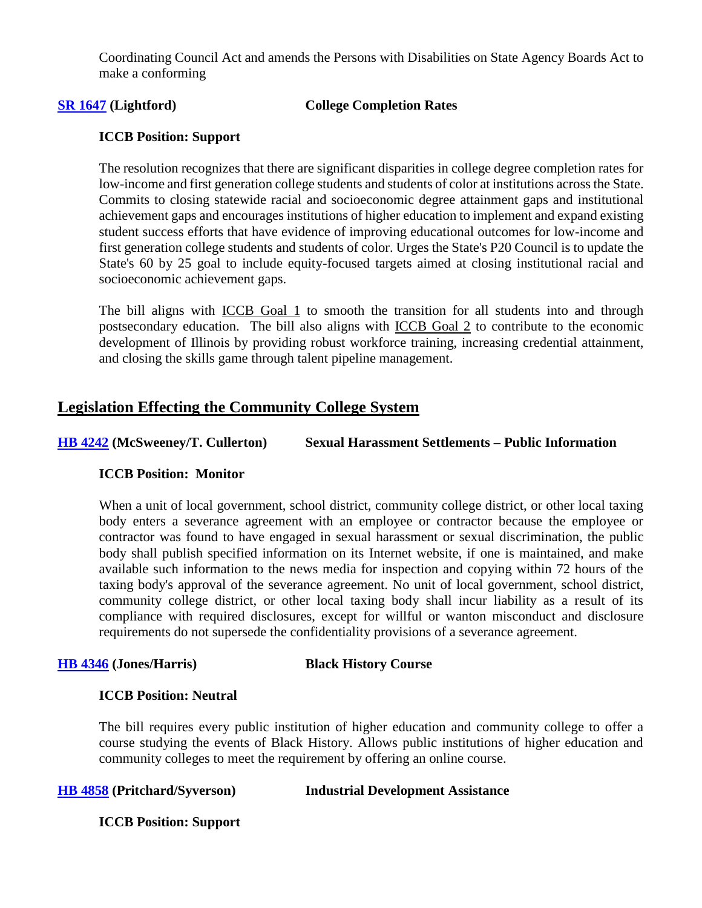Coordinating Council Act and amends the Persons with Disabilities on State Agency Boards Act to make a conforming

### **[SR 1647](http://www.ilga.gov/legislation/billstatus.asp?DocNum=1647&GAID=14&GA=100&DocTypeID=SR&SessionID=91) (Lightford) College Completion Rates**

## **ICCB Position: Support**

The resolution recognizes that there are significant disparities in college degree completion rates for low-income and first generation college students and students of color at institutions across the State. Commits to closing statewide racial and socioeconomic degree attainment gaps and institutional achievement gaps and encourages institutions of higher education to implement and expand existing student success efforts that have evidence of improving educational outcomes for low-income and first generation college students and students of color. Urges the State's P20 Council is to update the State's 60 by 25 goal to include equity-focused targets aimed at closing institutional racial and socioeconomic achievement gaps.

The bill aligns with ICCB Goal 1 to smooth the transition for all students into and through postsecondary education.The bill also aligns with ICCB Goal 2 to contribute to the economic development of Illinois by providing robust workforce training, increasing credential attainment, and closing the skills game through talent pipeline management.

## **Legislation Effecting the Community College System**

**[HB 4242](http://www.ilga.gov/legislation/billstatus.asp?DocNum=4242&GAID=14&GA=100&DocTypeID=HB&SessionID=91) (McSweeney/T. Cullerton) Sexual Harassment Settlements – Public Information**

## **ICCB Position: Monitor**

When a unit of local government, school district, community college district, or other local taxing body enters a severance agreement with an employee or contractor because the employee or contractor was found to have engaged in sexual harassment or sexual discrimination, the public body shall publish specified information on its Internet website, if one is maintained, and make available such information to the news media for inspection and copying within 72 hours of the taxing body's approval of the severance agreement. No unit of local government, school district, community college district, or other local taxing body shall incur liability as a result of its compliance with required disclosures, except for willful or wanton misconduct and disclosure requirements do not supersede the confidentiality provisions of a severance agreement.

### **[HB 4346](http://www.ilga.gov/legislation/billstatus.asp?DocNum=4346&GAID=14&GA=100&DocTypeID=HB&LegID=109012&SessionID=91) (Jones/Harris) Black History Course**

### **ICCB Position: Neutral**

The bill requires every public institution of higher education and community college to offer a course studying the events of Black History. Allows public institutions of higher education and community colleges to meet the requirement by offering an online course.

## **[HB 4858](http://www.ilga.gov/legislation/billstatus.asp?DocNum=4858&GAID=14&GA=100&DocTypeID=HB&LegID=110224&SessionID=91) (Pritchard/Syverson) Industrial Development Assistance**

**ICCB Position: Support**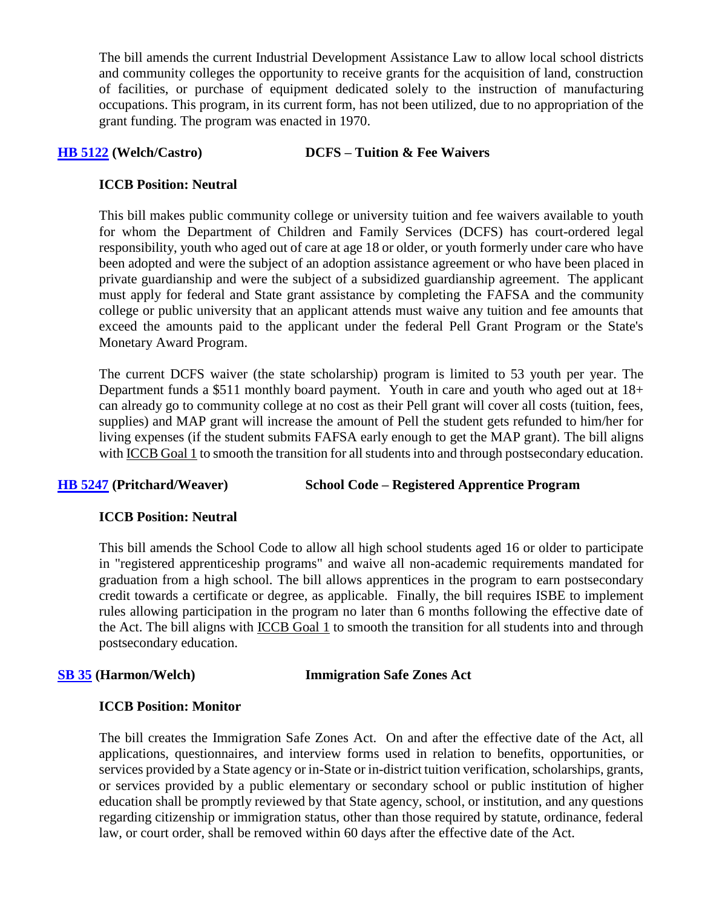The bill amends the current Industrial Development Assistance Law to allow local school districts and community colleges the opportunity to receive grants for the acquisition of land, construction of facilities, or purchase of equipment dedicated solely to the instruction of manufacturing occupations. This program, in its current form, has not been utilized, due to no appropriation of the grant funding. The program was enacted in 1970.

## **[HB 5122](http://www.ilga.gov/legislation/billstatus.asp?DocNum=5122&GAID=14&GA=100&DocTypeID=HB&LegID=110742&SessionID=91) (Welch/Castro) DCFS – Tuition & Fee Waivers**

## **ICCB Position: Neutral**

This bill makes public community college or university tuition and fee waivers available to youth for whom the Department of Children and Family Services (DCFS) has court-ordered legal responsibility, youth who aged out of care at age 18 or older, or youth formerly under care who have been adopted and were the subject of an adoption assistance agreement or who have been placed in private guardianship and were the subject of a subsidized guardianship agreement. The applicant must apply for federal and State grant assistance by completing the FAFSA and the community college or public university that an applicant attends must waive any tuition and fee amounts that exceed the amounts paid to the applicant under the federal Pell Grant Program or the State's Monetary Award Program.

The current DCFS waiver (the state scholarship) program is limited to 53 youth per year. The Department funds a \$511 monthly board payment. Youth in care and youth who aged out at 18+ can already go to community college at no cost as their Pell grant will cover all costs (tuition, fees, supplies) and MAP grant will increase the amount of Pell the student gets refunded to him/her for living expenses (if the student submits FAFSA early enough to get the MAP grant). The bill aligns with ICCB Goal 1 to smooth the transition for all students into and through postsecondary education.

**[HB 5247](http://www.ilga.gov/legislation/billstatus.asp?DocNum=5247&GAID=14&GA=100&DocTypeID=HB&SessionID=91) (Pritchard/Weaver) School Code – Registered Apprentice Program**

## **ICCB Position: Neutral**

This bill amends the School Code to allow all high school students aged 16 or older to participate in "registered apprenticeship programs" and waive all non-academic requirements mandated for graduation from a high school. The bill allows apprentices in the program to earn postsecondary credit towards a certificate or degree, as applicable. Finally, the bill requires ISBE to implement rules allowing participation in the program no later than 6 months following the effective date of the Act. The bill aligns with ICCB Goal 1 to smooth the transition for all students into and through postsecondary education.

### **[SB 35](http://www.ilga.gov/legislation/billstatus.asp?DocNum=35&GAID=14&GA=100&DocTypeID=SB&SessionID=91) (Harmon/Welch) Immigration Safe Zones Act**

## **ICCB Position: Monitor**

The bill creates the Immigration Safe Zones Act. On and after the effective date of the Act, all applications, questionnaires, and interview forms used in relation to benefits, opportunities, or services provided by a State agency or in-State or in-district tuition verification, scholarships, grants, or services provided by a public elementary or secondary school or public institution of higher education shall be promptly reviewed by that State agency, school, or institution, and any questions regarding citizenship or immigration status, other than those required by statute, ordinance, federal law, or court order, shall be removed within 60 days after the effective date of the Act.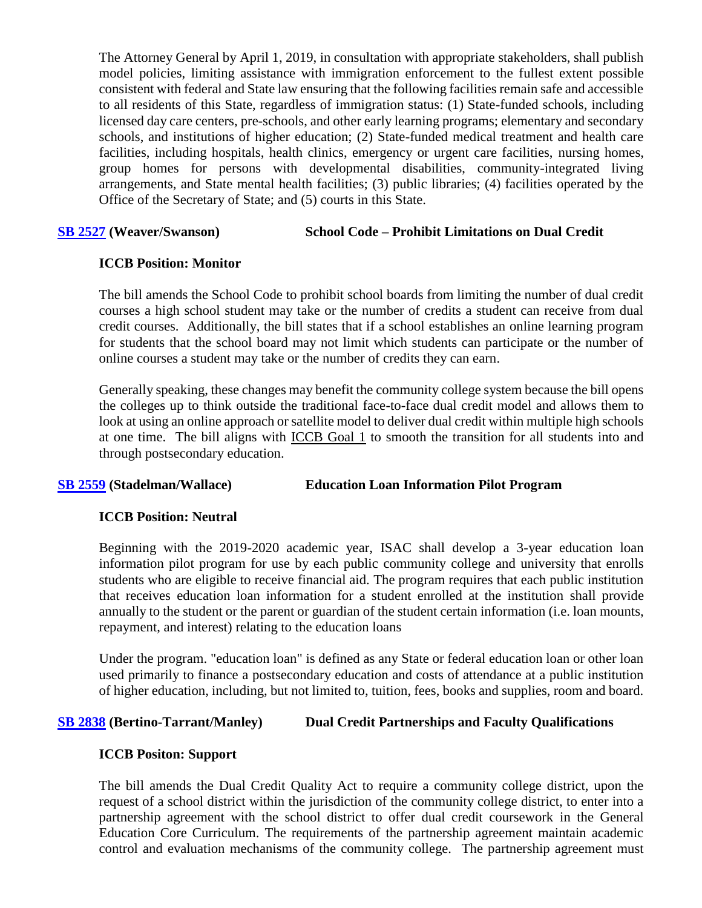The Attorney General by April 1, 2019, in consultation with appropriate stakeholders, shall publish model policies, limiting assistance with immigration enforcement to the fullest extent possible consistent with federal and State law ensuring that the following facilities remain safe and accessible to all residents of this State, regardless of immigration status: (1) State-funded schools, including licensed day care centers, pre-schools, and other early learning programs; elementary and secondary schools, and institutions of higher education; (2) State-funded medical treatment and health care facilities, including hospitals, health clinics, emergency or urgent care facilities, nursing homes, group homes for persons with developmental disabilities, community-integrated living arrangements, and State mental health facilities; (3) public libraries; (4) facilities operated by the Office of the Secretary of State; and (5) courts in this State.

## **[SB 2527](http://www.ilga.gov/legislation/billstatus.asp?DocNum=2527&GAID=14&GA=100&DocTypeID=SB&LegID=109343&SessionID=91) (Weaver/Swanson) School Code – Prohibit Limitations on Dual Credit**

## **ICCB Position: Monitor**

The bill amends the School Code to prohibit school boards from limiting the number of dual credit courses a high school student may take or the number of credits a student can receive from dual credit courses. Additionally, the bill states that if a school establishes an online learning program for students that the school board may not limit which students can participate or the number of online courses a student may take or the number of credits they can earn.

Generally speaking, these changes may benefit the community college system because the bill opens the colleges up to think outside the traditional face-to-face dual credit model and allows them to look at using an online approach or satellite model to deliver dual credit within multiple high schools at one time. The bill aligns with ICCB Goal 1 to smooth the transition for all students into and through postsecondary education.

## **[SB 2559](http://www.ilga.gov/legislation/billstatus.asp?DocNum=2559&GAID=14&GA=100&DocTypeID=SB&LegID=109467&SessionID=91) (Stadelman/Wallace) Education Loan Information Pilot Program**

## **ICCB Position: Neutral**

Beginning with the 2019-2020 academic year, ISAC shall develop a 3-year education loan information pilot program for use by each public community college and university that enrolls students who are eligible to receive financial aid. The program requires that each public institution that receives education loan information for a student enrolled at the institution shall provide annually to the student or the parent or guardian of the student certain information (i.e. loan mounts, repayment, and interest) relating to the education loans

Under the program. "education loan" is defined as any State or federal education loan or other loan used primarily to finance a postsecondary education and costs of attendance at a public institution of higher education, including, but not limited to, tuition, fees, books and supplies, room and board.

## **[SB 2838](http://www.ilga.gov/legislation/billstatus.asp?DocNum=2838&GAID=14&GA=100&DocTypeID=SB&SessionID=91) (Bertino-Tarrant/Manley) Dual Credit Partnerships and Faculty Qualifications**

## **ICCB Positon: Support**

The bill amends the Dual Credit Quality Act to require a community college district, upon the request of a school district within the jurisdiction of the community college district, to enter into a partnership agreement with the school district to offer dual credit coursework in the General Education Core Curriculum. The requirements of the partnership agreement maintain academic control and evaluation mechanisms of the community college. The partnership agreement must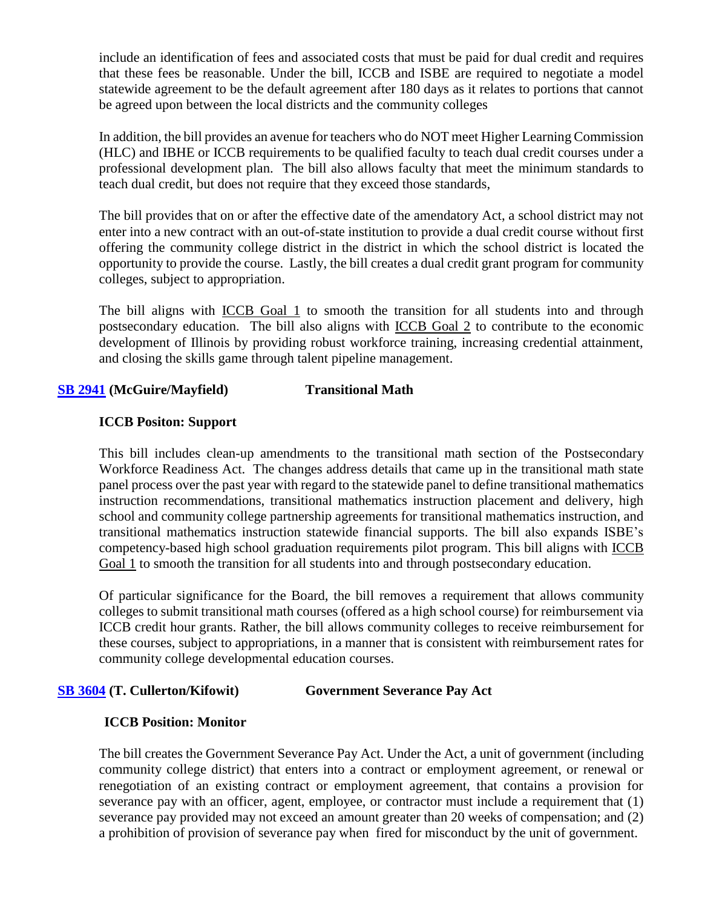include an identification of fees and associated costs that must be paid for dual credit and requires that these fees be reasonable. Under the bill, ICCB and ISBE are required to negotiate a model statewide agreement to be the default agreement after 180 days as it relates to portions that cannot be agreed upon between the local districts and the community colleges

In addition, the bill provides an avenue for teachers who do NOT meet Higher Learning Commission (HLC) and IBHE or ICCB requirements to be qualified faculty to teach dual credit courses under a professional development plan. The bill also allows faculty that meet the minimum standards to teach dual credit, but does not require that they exceed those standards,

The bill provides that on or after the effective date of the amendatory Act, a school district may not enter into a new contract with an out-of-state institution to provide a dual credit course without first offering the community college district in the district in which the school district is located the opportunity to provide the course. Lastly, the bill creates a dual credit grant program for community colleges, subject to appropriation.

The bill aligns with ICCB Goal 1 to smooth the transition for all students into and through postsecondary education.The bill also aligns with ICCB Goal 2 to contribute to the economic development of Illinois by providing robust workforce training, increasing credential attainment, and closing the skills game through talent pipeline management.

## **[SB 2941](http://www.ilga.gov/legislation/billstatus.asp?DocNum=2941&GAID=14&GA=100&DocTypeID=SB&SessionID=91) (McGuire/Mayfield) Transitional Math**

## **ICCB Positon: Support**

This bill includes clean-up amendments to the transitional math section of the Postsecondary Workforce Readiness Act. The changes address details that came up in the transitional math state panel process over the past year with regard to the statewide panel to define transitional mathematics instruction recommendations, transitional mathematics instruction placement and delivery, high school and community college partnership agreements for transitional mathematics instruction, and transitional mathematics instruction statewide financial supports. The bill also expands ISBE's competency-based high school graduation requirements pilot program. This bill aligns with ICCB Goal 1 to smooth the transition for all students into and through postsecondary education.

Of particular significance for the Board, the bill removes a requirement that allows community colleges to submit transitional math courses (offered as a high school course) for reimbursement via ICCB credit hour grants. Rather, the bill allows community colleges to receive reimbursement for these courses, subject to appropriations, in a manner that is consistent with reimbursement rates for community college developmental education courses.

## **[SB 3604](http://www.ilga.gov/legislation/billstatus.asp?DocNum=3604&GAID=14&GA=100&DocTypeID=SB&SessionID=91) (T. Cullerton/Kifowit) Government Severance Pay Act**

## **ICCB Position: Monitor**

The bill creates the Government Severance Pay Act. Under the Act, a unit of government (including community college district) that enters into a contract or employment agreement, or renewal or renegotiation of an existing contract or employment agreement, that contains a provision for severance pay with an officer, agent, employee, or contractor must include a requirement that (1) severance pay provided may not exceed an amount greater than 20 weeks of compensation; and (2) a prohibition of provision of severance pay when fired for misconduct by the unit of government.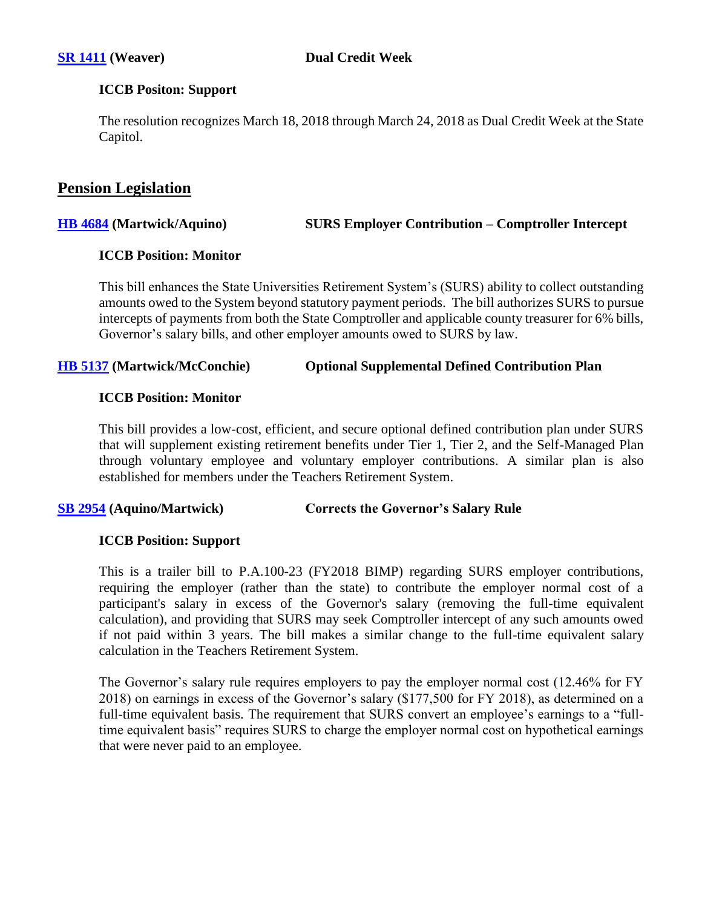## **ICCB Positon: Support**

The resolution recognizes March 18, 2018 through March 24, 2018 as Dual Credit Week at the State Capitol.

# **Pension Legislation**

**[HB 4684](http://www.ilga.gov/legislation/billstatus.asp?DocNum=4684&GAID=14&GA=100&DocTypeID=HB&LegID=109709&SessionID=91) (Martwick/Aquino) SURS Employer Contribution – Comptroller Intercept**

## **ICCB Position: Monitor**

This bill enhances the State Universities Retirement System's (SURS) ability to collect outstanding amounts owed to the System beyond statutory payment periods. The bill authorizes SURS to pursue intercepts of payments from both the State Comptroller and applicable county treasurer for 6% bills, Governor's salary bills, and other employer amounts owed to SURS by law.

## **[HB 5137](http://www.ilga.gov/legislation/billstatus.asp?DocNum=5137&GAID=14&GA=100&DocTypeID=HB&SessionID=91) (Martwick/McConchie) Optional Supplemental Defined Contribution Plan**

## **ICCB Position: Monitor**

This bill provides a low-cost, efficient, and secure optional defined contribution plan under SURS that will supplement existing retirement benefits under Tier 1, Tier 2, and the Self-Managed Plan through voluntary employee and voluntary employer contributions. A similar plan is also established for members under the Teachers Retirement System.

## **[SB 2954](http://www.ilga.gov/legislation/billstatus.asp?DocNum=2954&GAID=14&GA=100&DocTypeID=SB&SessionID=91) (Aquino/Martwick) Corrects the Governor's Salary Rule**

## **ICCB Position: Support**

This is a trailer bill to P.A.100-23 (FY2018 BIMP) regarding SURS employer contributions, requiring the employer (rather than the state) to contribute the employer normal cost of a participant's salary in excess of the Governor's salary (removing the full-time equivalent calculation), and providing that SURS may seek Comptroller intercept of any such amounts owed if not paid within 3 years. The bill makes a similar change to the full-time equivalent salary calculation in the Teachers Retirement System.

The Governor's salary rule requires employers to pay the employer normal cost (12.46% for FY 2018) on earnings in excess of the Governor's salary (\$177,500 for FY 2018), as determined on a full-time equivalent basis. The requirement that SURS convert an employee's earnings to a "fulltime equivalent basis" requires SURS to charge the employer normal cost on hypothetical earnings that were never paid to an employee.